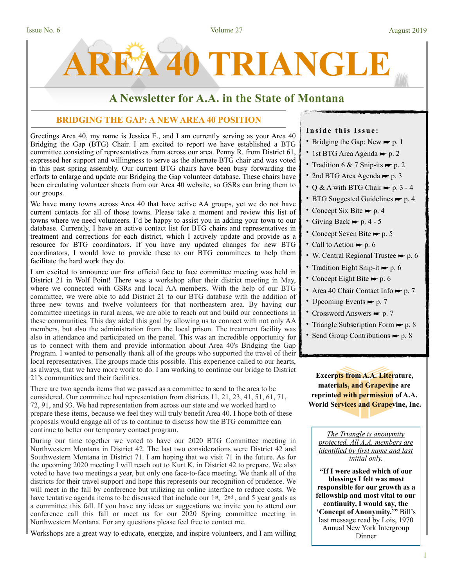

### **A Newsletter for A.A. in the State of Montana**

#### **BRIDGING THE GAP: A NEW AREA 40 POSITION**

Greetings Area 40, my name is Jessica E., and I am currently serving as your Area 40 Bridging the Gap (BTG) Chair. I am excited to report we have established a BTG committee consisting of representatives from across our area. Penny R. from District 61, expressed her support and willingness to serve as the alternate BTG chair and was voted in this past spring assembly. Our current BTG chairs have been busy forwarding the efforts to enlarge and update our Bridging the Gap volunteer database. These chairs have been circulating volunteer sheets from our Area 40 website, so GSRs can bring them to our groups.

We have many towns across Area 40 that have active AA groups, yet we do not have current contacts for all of those towns. Please take a moment and review this list of towns where we need volunteers. I'd be happy to assist you in adding your town to our database. Currently, I have an active contact list for BTG chairs and representatives in treatment and corrections for each district, which I actively update and provide as a resource for BTG coordinators. If you have any updated changes for new BTG coordinators, I would love to provide these to our BTG committees to help them facilitate the hard work they do.

I am excited to announce our first official face to face committee meeting was held in District 21 in Wolf Point! There was a workshop after their district meeting in May, where we connected with GSRs and local AA members. With the help of our BTG committee, we were able to add District 21 to our BTG database with the addition of three new towns and twelve volunteers for that northeastern area. By having our committee meetings in rural areas, we are able to reach out and build our connections in these communities. This day aided this goal by allowing us to connect with not only AA members, but also the administration from the local prison. The treatment facility was also in attendance and participated on the panel. This was an incredible opportunity for us to connect with them and provide information about Area 40's Bridging the Gap Program. I wanted to personally thank all of the groups who supported the travel of their local representatives. The groups made this possible. This experience called to our hearts, as always, that we have more work to do. I am working to continue our bridge to District 21's communities and their facilities.

There are two agenda items that we passed as a committee to send to the area to be considered. Our committee had representation from districts 11, 21, 23, 41, 51, 61, 71, 72, 91, and 93. We had representation from across our state and we worked hard to prepare these items, because we feel they will truly benefit Area 40. I hope both of these proposals would engage all of us to continue to discuss how the BTG committee can continue to better our temporary contact program.

During our time together we voted to have our 2020 BTG Committee meeting in Northwestern Montana in District 42. The last two considerations were District 42 and Southwestern Montana in District 71. I am hoping that we visit 71 in the future. As for the upcoming 2020 meeting I will reach out to Kurt K. in District 42 to prepare. We also voted to have two meetings a year, but only one face-to-face meeting. We thank all of the districts for their travel support and hope this represents our recognition of prudence. We will meet in the fall by conference but utilizing an online interface to reduce costs. We have tentative agenda items to be discussed that include our  $1<sup>st</sup>$ ,  $2<sup>nd</sup>$ , and 5 year goals as a committee this fall. If you have any ideas or suggestions we invite you to attend our conference call this fall or meet us for our 2020 Spring committee meeting in Northwestern Montana. For any questions please feel free to contact me.

Workshops are a great way to educate, energize, and inspire volunteers, and I am willing

#### **Inside this Issue:**

- Bridging the Gap: New  $\blacktriangleright$  p. 1
- 1st BTG Area Agenda ☛ p. 2
- Tradition 6 & 7 Snip-its  $\blacktriangleright$  p. 2
- 2nd BTG Area Agenda ☛ p. 3
- Q & A with BTG Chair  $\blacktriangleright$  p. 3 4
- BTG Suggested Guidelines ☛ p. 4
- Concept Six Bite  $\blacktriangleright$  p. 4
- Giving Back  $\blacktriangleright$  p. 4 5
- Concept Seven Bite p. 5
- Call to Action  $\blacktriangleright$  p. 6
- W. Central Regional Trustee p. 6
- Tradition Eight Snip-it p. 6
- Concept Eight Bite  $\blacktriangleright$  p. 6
- Area 40 Chair Contact Info p. 7
- Upcoming Events p. 7
- Crossword Answers ☛ p. 7
- Triangle Subscription Form p. 8
- Send Group Contributions  $\blacktriangleright p$ . 8

**Excerpts from A.A. Literature, materials, and Grapevine are reprinted with permission of A.A. World Services and Grapevine, Inc.**

*The Triangle is anonymity protected. All A.A. members are identified by first name and last initial only.* 

**"If I were asked which of our blessings I felt was most responsible for our growth as a fellowship and most vital to our continuity, I would say, the 'Concept of Anonymity.'"** Bill's last message read by Lois, 1970 Annual New York Intergroup Dinner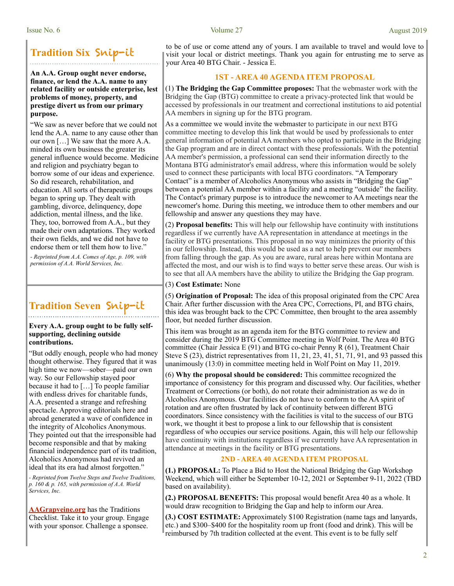#### **Tradition Six** Snip-it

#### **An A.A. Group ought never endorse, finance, or lend the A.A. name to any related facility or outside enterprise, lest problems of money, property, and prestige divert us from our primary purpose.**

"We saw as never before that we could not lend the A.A. name to any cause other than our own […] We saw that the more A.A. minded its own business the greater its general influence would become. Medicine and religion and psychiatry began to borrow some of our ideas and experience. So did research, rehabilitation, and education. All sorts of therapeutic groups began to spring up. They dealt with gambling, divorce, delinquency, dope addiction, mental illness, and the like. They, too, borrowed from A.A., but they made their own adaptations. They worked their own fields, and we did not have to endorse them or tell them how to live."

*- Reprinted from A.A. Comes of Age, p. 109, with permission of A.A. World Services, Inc.* 

## **Tradition Seven** Snip-it

#### **Every A.A. group ought to be fully selfsupporting, declining outside contributions.**

"But oddly enough, people who had money thought otherwise. They figured that it was high time we now—sober—paid our own way. So our Fellowship stayed poor because it had to […] To people familiar with endless drives for charitable funds, A.A. presented a strange and refreshing spectacle. Approving editorials here and abroad generated a wave of confidence in the integrity of Alcoholics Anonymous. They pointed out that the irresponsible had become responsible and that by making financial independence part of its tradition, Alcoholics Anonymous had revived an ideal that its era had almost forgotten."

*- Reprinted from Twelve Steps and Twelve Traditions, p. 160 & p. 165, with permission of A.A. World Services, Inc.* 

**[AAGrapveine.org](http://AAGrapveine.org)** has the Traditions Checklist. Take it to your group. Engage with your sponsor. Challenge a sponsee. to be of use or come attend any of yours. I am available to travel and would love to visit your local or district meetings. Thank you again for entrusting me to serve as your Area 40 BTG Chair. - Jessica E.

#### **1ST - AREA 40 AGENDA ITEM PROPOSAL**

(1) **The Bridging the Gap Committee proposes:** That the webmaster work with the Bridging the Gap (BTG) committee to create a privacy-protected link that would be accessed by professionals in our treatment and correctional institutions to aid potential AA members in signing up for the BTG program.

As a committee we would invite the webmaster to participate in our next BTG committee meeting to develop this link that would be used by professionals to enter general information of potential AA members who opted to participate in the Bridging the Gap program and are in direct contact with these professionals. With the potential AA member's permission, a professional can send their information directly to the Montana BTG administrator's email address, where this information would be solely used to connect these participants with local BTG coordinators. "A Temporary Contact" is a member of Alcoholics Anonymous who assists in "Bridging the Gap" between a potential AA member within a facility and a meeting "outside" the facility. The Contact's primary purpose is to introduce the newcomer to AA meetings near the newcomer's home. During this meeting, we introduce them to other members and our fellowship and answer any questions they may have.

(2) **Proposal benefits:** This will help our fellowship have continuity with institutions regardless if we currently have AA representation in attendance at meetings in the facility or BTG presentations. This proposal in no way minimizes the priority of this in our fellowship. Instead, this would be used as a net to help prevent our members from falling through the gap. As you are aware, rural areas here within Montana are affected the most, and our wish is to find ways to better serve these areas. Our wish is to see that all AA members have the ability to utilize the Bridging the Gap program.

#### (3) **Cost Estimate:** None

(5) **Origination of Proposal:** The idea of this proposal originated from the CPC Area Chair. After further discussion with the Area CPC, Corrections, PI, and BTG chairs, this idea was brought back to the CPC Committee, then brought to the area assembly floor, but needed further discussion.

This item was brought as an agenda item for the BTG committee to review and consider during the 2019 BTG Committee meeting in Wolf Point. The Area 40 BTG committee (Chair Jessica E  $(91)$  and BTG co-chair Penny R  $(61)$ , Treatment Chair Steve S (23), district representatives from 11, 21, 23, 41, 51, 71, 91, and 93 passed this unanimously (13:0) in committee meeting held in Wolf Point on May 11, 2019.

(6) **Why the proposal should be considered:** This committee recognized the importance of consistency for this program and discussed why. Our facilities, whether Treatment or Corrections (or both), do not rotate their administration as we do in Alcoholics Anonymous. Our facilities do not have to conform to the AA spirit of rotation and are often frustrated by lack of continuity between different BTG coordinators. Since consistency with the facilities is vital to the success of our BTG work, we thought it best to propose a link to our fellowship that is consistent regardless of who occupies our service positions. Again, this will help our fellowship have continuity with institutions regardless if we currently have AA representation in attendance at meetings in the facility or BTG presentations.

#### **2ND - AREA 40 AGENDA ITEM PROPOSAL**

**(1.) PROPOSAL:** To Place a Bid to Host the National Bridging the Gap Workshop Weekend, which will either be September 10-12, 2021 or September 9-11, 2022 (TBD based on availability).

**(2.) PROPOSAL BENEFITS:** This proposal would benefit Area 40 as a whole. It would draw recognition to Bridging the Gap and help to inform our Area.

**(3.) COST ESTIMATE:** Approximately \$100 Registration (name tags and lanyards, etc.) and \$300–\$400 for the hospitality room up front (food and drink). This will be reimbursed by 7th tradition collected at the event. This event is to be fully self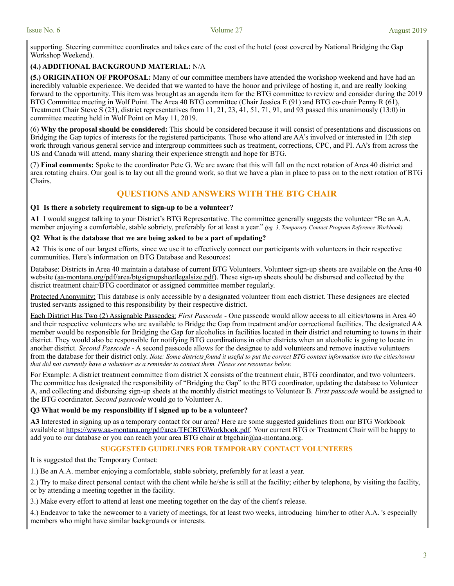supporting. Steering committee coordinates and takes care of the cost of the hotel (cost covered by National Bridging the Gap Workshop Weekend).

#### **(4.) ADDITIONAL BACKGROUND MATERIAL:** N/A

**(5.) ORIGINATION OF PROPOSAL:** Many of our committee members have attended the workshop weekend and have had an incredibly valuable experience. We decided that we wanted to have the honor and privilege of hosting it, and are really looking forward to the opportunity. This item was brought as an agenda item for the BTG committee to review and consider during the 2019 BTG Committee meeting in Wolf Point. The Area 40 BTG committee (Chair Jessica E (91) and BTG co-chair Penny R (61), Treatment Chair Steve S (23), district representatives from 11, 21, 23, 41, 51, 71, 91, and 93 passed this unanimously (13:0) in committee meeting held in Wolf Point on May 11, 2019.

(6) **Why the proposal should be considered:** This should be considered because it will consist of presentations and discussions on Bridging the Gap topics of interests for the registered participants. Those who attend are AA's involved or interested in 12th step work through various general service and intergroup committees such as treatment, corrections, CPC, and PI. AA's from across the US and Canada will attend, many sharing their experience strength and hope for BTG.

(7) **Final comments:** Spoke to the coordinator Pete G. We are aware that this will fall on the next rotation of Area 40 district and area rotating chairs. Our goal is to lay out all the ground work, so that we have a plan in place to pass on to the next rotation of BTG Chairs.

### **QUESTIONS AND ANSWERS WITH THE BTG CHAIR**

#### **Q1 Is there a sobriety requirement to sign-up to be a volunteer?**

**A1** I would suggest talking to your District's BTG Representative. The committee generally suggests the volunteer "Be an A.A. member enjoying a comfortable, stable sobriety, preferably for at least a year." *(pg. 3, Temporary Contact Program Reference Workbook).* 

#### **Q2 What is the database that we are being asked to be a part of updating?**

**A2** This is one of our largest efforts, since we use it to effectively connect our participants with volunteers in their respective communities. Here's information on BTG Database and Resources:

Database: Districts in Area 40 maintain a database of current BTG Volunteers. Volunteer sign-up sheets are available on the Area 40 website [\(aa-montana.org/pdf/area/btgsignupsheetlegalsize.pdf\)](http://aa-montana.org). These sign-up sheets should be disbursed and collected by the district treatment chair/BTG coordinator or assigned committee member regularly.

Protected Anonymity: This database is only accessible by a designated volunteer from each district. These designees are elected trusted servants assigned to this responsibility by their respective district.

Each District Has Two (2) Assignable Passcodes: *First Passcode* - One passcode would allow access to all cities/towns in Area 40 and their respective volunteers who are available to Bridge the Gap from treatment and/or correctional facilities. The designated AA member would be responsible for Bridging the Gap for alcoholics in facilities located in their district and returning to towns in their district. They would also be responsible for notifying BTG coordinations in other districts when an alcoholic is going to locate in another district. *Second Passcode* - A second passcode allows for the designee to add volunteers and remove inactive volunteers from the database for their district only. *Note: Some districts found it useful to put the correct BTG contact information into the cities/towns that did not currently have a volunteer as a reminder to contact them. Please see resources below.*

For Example: A district treatment committee from district X consists of the treatment chair, BTG coordinator, and two volunteers. The committee has designated the responsibility of "Bridging the Gap" to the BTG coordinator, updating the database to Volunteer A, and collecting and disbursing sign-up sheets at the monthly district meetings to Volunteer B. *First passcode* would be assigned to the BTG coordinator. *Second passcode* would go to Volunteer A.

#### **Q3 What would be my responsibility if I signed up to be a volunteer?**

**A3** Interested in signing up as a temporary contact for our area? Here are some suggested guidelines from our BTG Workbook available at<https://www.aa-montana.org/pdf/area/TFCBTGWorkbook.pdf>. Your current BTG or Treatment Chair will be happy to add you to our database or you can reach your area BTG chair at btgchair@aa-montana.org.

#### **SUGGESTED GUIDELINES FOR TEMPORARY CONTACT VOLUNTEERS**

It is suggested that the Temporary Contact:

1.) Be an A.A. member enjoying a comfortable, stable sobriety, preferably for at least a year.

2.) Try to make direct personal contact with the client while he/she is still at the facility; either by telephone, by visiting the facility, or by attending a meeting together in the facility.

3.) Make every effort to attend at least one meeting together on the day of the client's release.

4.) Endeavor to take the newcomer to a variety of meetings, for at least two weeks, introducing him/her to other A.A. 's especially members who might have similar backgrounds or interests.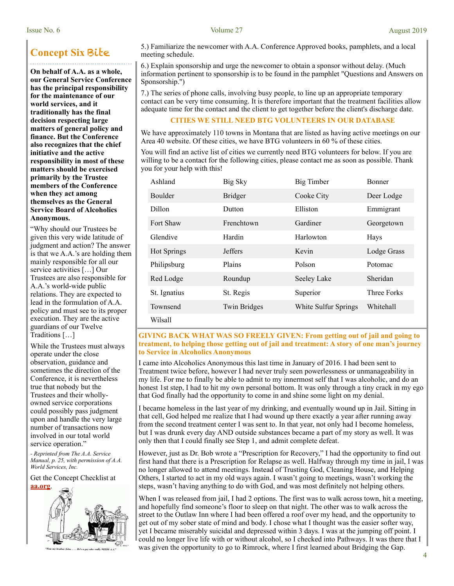### **Concept Six** Bite

**On behalf of A.A. as a whole, our General Service Conference has the principal responsibility for the maintenance of our world services, and it traditionally has the final decision respecting large matters of general policy and finance. But the Conference also recognizes that the chief initiative and the active responsibility in most of these matters should be exercised primarily by the Trustee members of the Conference when they act among themselves as the General Service Board of Alcoholics Anonymous.**

"Why should our Trustees be given this very wide latitude of judgment and action? The answer is that we A.A.'s are holding them mainly responsible for all our service activities […] Our Trustees are also responsible for A.A.'s world-wide public relations. They are expected to lead in the formulation of A.A. policy and must see to its proper execution. They are the active guardians of our Twelve Traditions […]

While the Trustees must always operate under the close observation, guidance and sometimes the direction of the Conference, it is nevertheless true that nobody but the Trustees and their whollyowned service corporations could possibly pass judgment upon and handle the very large number of transactions now involved in our total world service operation."

*- Reprinted from The A.A. Service Manual, p. 25, with permission of A.A. World Services, Inc.* 

Get the Concept Checklist at



5.) Familiarize the newcomer with A.A. Conference Approved books, pamphlets, and a local meeting schedule.

6.) Explain sponsorship and urge the newcomer to obtain a sponsor without delay. (Much information pertinent to sponsorship is to be found in the pamphlet "Questions and Answers on Sponsorship.")

7.) The series of phone calls, involving busy people, to line up an appropriate temporary contact can be very time consuming. It is therefore important that the treatment facilities allow adequate time for the contact and the client to get together before the client's discharge date.

#### **CITIES WE STILL NEED BTG VOLUNTEERS IN OUR DATABASE**

We have approximately 110 towns in Montana that are listed as having active meetings on our Area 40 website. Of these cities, we have BTG volunteers in 60 % of these cities.

You will find an active list of cities we currently need BTG volunteers for below. If you are willing to be a contact for the following cities, please contact me as soon as possible. Thank you for your help with this!

| Ashland            | Big Sky             | Big Timber           | <b>Bonner</b> |
|--------------------|---------------------|----------------------|---------------|
| <b>Boulder</b>     | <b>Bridger</b>      | Cooke City           | Deer Lodge    |
| Dillon             | Dutton              | Elliston             | Emmigrant     |
| <b>Fort Shaw</b>   | Frenchtown          | Gardiner             | Georgetown    |
| Glendive           | Hardin              | Harlowton            | Hays          |
| <b>Hot Springs</b> | <b>Jeffers</b>      | Kevin                | Lodge Grass   |
| Philipsburg        | Plains              | Polson               | Potomac       |
| Red Lodge          | Roundup             | Seeley Lake          | Sheridan      |
| St. Ignatius       | St. Regis           | Superior             | Three Forks   |
| Townsend           | <b>Twin Bridges</b> | White Sulfur Springs | Whitehall     |
| Wilsall            |                     |                      |               |

**GIVING BACK WHAT WAS SO FREELY GIVEN: From getting out of jail and going to treatment, to helping those getting out of jail and treatment: A story of one man's journey to Service in Alcoholics Anonymous**

I came into Alcoholics Anonymous this last time in January of 2016. I had been sent to Treatment twice before, however I had never truly seen powerlessness or unmanageability in my life. For me to finally be able to admit to my innermost self that I was alcoholic, and do an honest 1st step, I had to hit my own personal bottom. It was only through a tiny crack in my ego that God finally had the opportunity to come in and shine some light on my denial.

I became homeless in the last year of my drinking, and eventually wound up in Jail. Sitting in that cell, God helped me realize that I had wound up there exactly a year after running away from the second treatment center I was sent to. In that year, not only had I become homeless, but I was drunk every day AND outside substances became a part of my story as well. It was only then that I could finally see Step 1, and admit complete defeat.

However, just as Dr. Bob wrote a "Prescription for Recovery," I had the opportunity to find out first hand that there is a Prescription for Relapse as well. Halfway through my time in jail, I was no longer allowed to attend meetings. Instead of Trusting God, Cleaning House, and Helping Others, I started to act in my old ways again. I wasn't going to meetings, wasn't working the steps, wasn't having anything to do with God, and was most definitely not helping others.

When I was released from jail, I had 2 options. The first was to walk across town, hit a meeting, and hopefully find someone's floor to sleep on that night. The other was to walk across the street to the Outlaw Inn where I had been offered a roof over my head, and the opportunity to get out of my sober state of mind and body. I chose what I thought was the easier softer way, yet I became miserably suicidal and depressed within 3 days. I was at the jumping off point. I could no longer live life with or without alcohol, so I checked into Pathways. It was there that I was given the opportunity to go to Rimrock, where I first learned about Bridging the Gap.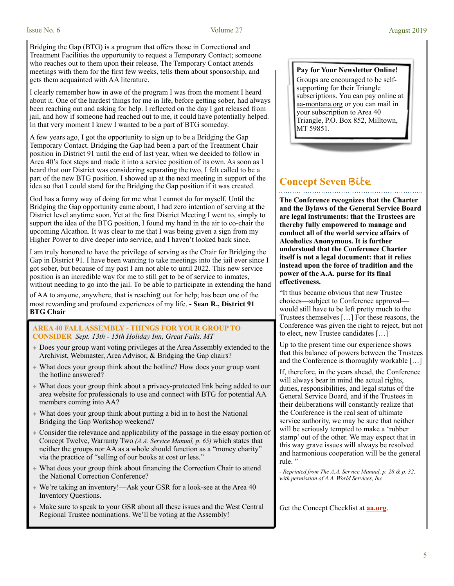Bridging the Gap (BTG) is a program that offers those in Correctional and Treatment Facilities the opportunity to request a Temporary Contact; someone who reaches out to them upon their release. The Temporary Contact attends meetings with them for the first few weeks, tells them about sponsorship, and gets them acquainted with AA literature.

I clearly remember how in awe of the program I was from the moment I heard about it. One of the hardest things for me in life, before getting sober, had always been reaching out and asking for help. I reflected on the day I got released from jail, and how if someone had reached out to me, it could have potentially helped. In that very moment I knew I wanted to be a part of BTG someday.

A few years ago, I got the opportunity to sign up to be a Bridging the Gap Temporary Contact. Bridging the Gap had been a part of the Treatment Chair position in District 91 until the end of last year, when we decided to follow in Area 40's foot steps and made it into a service position of its own. As soon as I heard that our District was considering separating the two, I felt called to be a part of the new BTG position. I showed up at the next meeting in support of the idea so that I could stand for the Bridging the Gap position if it was created.

God has a funny way of doing for me what I cannot do for myself. Until the Bridging the Gap opportunity came about, I had zero intention of serving at the District level anytime soon. Yet at the first District Meeting I went to, simply to support the idea of the BTG position, I found my hand in the air to co-chair the upcoming Alcathon. It was clear to me that I was being given a sign from my Higher Power to dive deeper into service, and I haven't looked back since.

I am truly honored to have the privilege of serving as the Chair for Bridging the Gap in District 91. I have been wanting to take meetings into the jail ever since I got sober, but because of my past I am not able to until 2022. This new service position is an incredible way for me to still get to be of service to inmates, without needing to go into the jail. To be able to participate in extending the hand

of AA to anyone, anywhere, that is reaching out for help; has been one of the most rewarding and profound experiences of my life. **- Sean R., District 91 BTG Chair**

#### **AREA 40 FALL ASSEMBLY - THINGS FOR YOUR GROUP TO CONSIDER** *Sept. 13th - 15th Holiday Inn, Great Falls, MT*

- ✦ Does your group want voting privileges at the Area Assembly extended to the Archivist, Webmaster, Area Advisor, & Bridging the Gap chairs?
- What does your group think about the hotline? How does your group want the hotline answered?
- What does your group think about a privacy-protected link being added to our area website for professionals to use and connect with BTG for potential AA members coming into AA?
- What does your group think about putting a bid in to host the National Bridging the Gap Workshop weekend?
- Consider the relevance and applicability of the passage in the essay portion of Concept Twelve, Warranty Two *(A.A. Service Manual, p. 65)* which states that neither the groups nor AA as a whole should function as a "money charity" via the practice of "selling of our books at cost or less."
- What does your group think about financing the Correction Chair to attend the National Correction Conference?
- We're taking an inventory!—Ask your GSR for a look-see at the Area 40 Inventory Questions.
- Make sure to speak to your GSR about all these issues and the West Central Regional Trustee nominations. We'll be voting at the Assembly!

#### **Pay for Your Newsletter Online!**

Groups are encouraged to be selfsupporting for their Triangle subscriptions. You can pay online at [aa-montana.org](http://aa-montana.org) or you can mail in y[our subscription](http://aa-montana.org) to Area 40 Triangle, P.O. Box 852, Milltown, MT 59851.

## **Concept Seven** Bite

**The Conference recognizes that the Charter and the Bylaws of the General Service Board are legal instruments: that the Trustees are thereby fully empowered to manage and conduct all of the world service affairs of Alcoholics Anonymous. It is further understood that the Conference Charter itself is not a legal document: that it relies instead upon the force of tradition and the power of the A.A. purse for its final effectiveness.**

"It thus became obvious that new Trustee choices—subject to Conference approval would still have to be left pretty much to the Trustees themselves […] For these reasons, the Conference was given the right to reject, but not to elect, new Trustee candidates […]

Up to the present time our experience shows that this balance of powers between the Trustees and the Conference is thoroughly workable […]

If, therefore, in the years ahead, the Conference will always bear in mind the actual rights, duties, responsibilities, and legal status of the General Service Board, and if the Trustees in their deliberations will constantly realize that the Conference is the real seat of ultimate service authority, we may be sure that neither will be seriously tempted to make a 'rubber stamp' out of the other. We may expect that in this way grave issues will always be resolved and harmonious cooperation will be the general rule. "

*- Reprinted from The A.A. Service Manual, p. 28 & p. 32, with permission of A.A. World Services, Inc.* 

Get the Concept Checklist at **[aa.org](http://aa.org)**.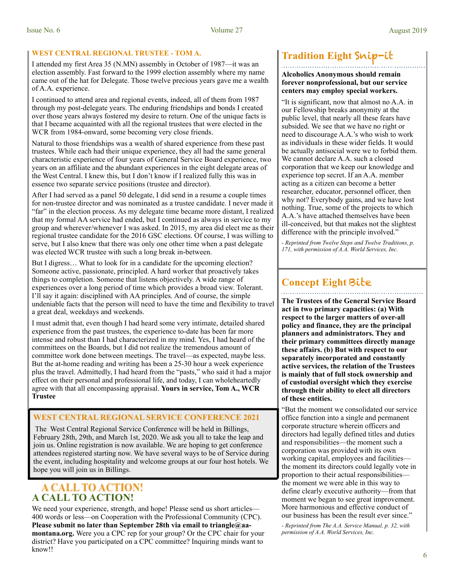#### **WEST CENTRAL REGIONAL TRUSTEE - TOM A.**

I attended my first Area 35 (N.MN) assembly in October of 1987—it was an election assembly. Fast forward to the 1999 election assembly where my name came out of the hat for Delegate. Those twelve precious years gave me a wealth of A.A. experience.

I continued to attend area and regional events, indeed, all of them from 1987 through my post-delegate years. The enduring friendships and bonds I created over those years always fostered my desire to return. One of the unique facts is that I became acquainted with all the regional trustees that were elected in the WCR from 1984-onward, some becoming very close friends.

Natural to those friendships was a wealth of shared experience from these past trustees. While each had their unique experience, they all had the same general characteristic experience of four years of General Service Board experience, two years on an affiliate and the abundant experiences in the eight delegate areas of the West Central. I knew this, but I don't know if I realized fully this was in essence two separate service positions (trustee and director).

After I had served as a panel 50 delegate, I did send in a resume a couple times for non-trustee director and was nominated as a trustee candidate. I never made it "far" in the election process. As my delegate time became more distant, I realized that my formal AA service had ended, but I continued as always in service to my group and wherever/whenever I was asked. In 2015, my area did elect me as their regional trustee candidate for the 2016 GSC elections. Of course, I was willing to serve, but I also knew that there was only one other time when a past delegate was elected WCR trustee with such a long break in-between.

But I digress… What to look for in a candidate for the upcoming election? Someone active, passionate, principled. A hard worker that proactively takes things to completion. Someone that listens objectively. A wide range of experiences over a long period of time which provides a broad view. Tolerant. I'll say it again: disciplined with AA principles. And of course, the simple undeniable facts that the person will need to have the time and flexibility to travel a great deal, weekdays and weekends.

I must admit that, even though I had heard some very intimate, detailed shared experience from the past trustees, the experience to-date has been far more intense and robust than I had characterized in my mind. Yes, I had heard of the committees on the Boards, but I did not realize the tremendous amount of committee work done between meetings. The travel—as expected, maybe less. But the at-home reading and writing has been a 25-30 hour a week experience plus the travel. Admittedly, I had heard from the "pasts," who said it had a major effect on their personal and professional life, and today, I can wholeheartedly agree with that all encompassing appraisal. **Yours in service, Tom A., WCR Trustee**

#### **WEST CENTRAL REGIONAL SERVICE CONFERENCE 2021**

 The West Central Regional Service Conference will be held in Billings, February 28th, 29th, and March 1st, 2020. We ask you all to take the leap and join us. Online registration is now available. We are hoping to get conference attendees registered starting now. We have several ways to be of Service during the event, including hospitality and welcome groups at our four host hotels. We hope you will join us in Billings.

### **A CALL TO ACTION! A CALL TO ACTION!**

We need your experience, strength, and hope! Please send us short articles— 400 words or less—on Cooperation with the Professional Community (CPC). **Please submit no later than September 28th via email to triangle@aamontana.org.** Were you a CPC rep for your group? Or the CPC chair for your district? Have you participated on a CPC committee? Inquiring minds want to know!!

### **Tradition Eight** Snip-it

#### **Alcoholics Anonymous should remain forever nonprofessional, but our service centers may employ special workers.**

"It is significant, now that almost no A.A. in our Fellowship breaks anonymity at the public level, that nearly all these fears have subsided. We see that we have no right or need to discourage A.A.'s who wish to work as individuals in these wider fields. It would be actually antisocial were we to forbid them. We cannot declare A.A. such a closed corporation that we keep our knowledge and experience top secret. If an A.A. member acting as a citizen can become a better researcher, educator, personnel officer, then why not? Everybody gains, and we have lost nothing. True, some of the projects to which A.A.'s have attached themselves have been ill-conceived, but that makes not the slightest difference with the principle involved."

*- Reprinted from Twelve Steps and Twelve Traditions, p. 171, with permission of A.A. World Services, Inc.* 

### **Concept Eight** Bite

**The Trustees of the General Service Board act in two primary capacities: (a) With respect to the larger matters of over-all policy and finance, they are the principal planners and administrators. They and their primary committees directly manage these affairs. (b) But with respect to our separately incorporated and constantly active services, the relation of the Trustees is mainly that of full stock ownership and of custodial oversight which they exercise through their ability to elect all directors of these entities.**

"But the moment we consolidated our service office function into a single and permanent corporate structure wherein officers and directors had legally defined titles and duties and responsibilities—the moment such a corporation was provided with its own working capital, employees and facilities the moment its directors could legally vote in proportion to their actual responsibilities the moment we were able in this way to define clearly executive authority—from that moment we began to see great improvement. More harmonious and effective conduct of our business has been the result ever since."

*- Reprinted from The A.A. Service Manual, p. 32, with permission of A.A. World Services, Inc.*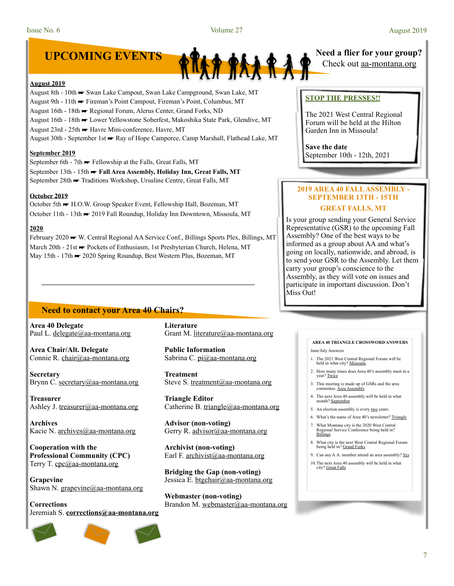



#### **August 2019**

August 8th - 10th ► Swan Lake Campout, Swan Lake Campground, Swan Lake, MT August 9th - 11th ☛ Fireman's Point Campout, Fireman's Point, Columbus, MT August 16th - 18th ☛ Regional Forum, Alerus Center, Grand Forks, ND August 16th - 18th ☛ Lower Yellowstone Soberfest, Makoshika State Park, Glendive, MT August 23rd - 25th ☛ Havre Mini-conference, Havre, MT August 30th - September 1st ☛ Ray of Hope Camporee, Camp Marshall, Flathead Lake, MT

#### **September 2019**

September 6th - 7th ► Fellowship at the Falls, Great Falls, MT September 13th - 15th ► Fall Area Assembly, Holiday Inn, Great Falls, MT September 28th <del>►</del> Traditions Workshop, Ursuline Centre, Great Falls, MT

#### **October 2019**

October 5th ► H.O.W. Group Speaker Event, Fellowship Hall, Bozeman, MT October 11th - 13th ☛ 2019 Fall Roundup, Holiday Inn Downtown, Missoula, MT

#### **2020**

February 2020 ☛ W. Central Regional AA Service Conf., Billings Sports Plex, Billings, MT March 20th - 21st ► Pockets of Enthusiasm, 1st Presbyterian Church, Helena, MT May 15th - 17th <del>►</del> 2020 Spring Roundup, Best Western Plus, Bozeman, MT

#### **Need to contact your Area 40 Chairs?**

**Area 40 Delegate**  Paul L. [delegate@aa-montana.org](mailto:delegate@aa-montana.org)

**Area Chair/Alt. Delegate**  Connie R. [chair@aa-montana.org](mailto:chair@aa-montana.org)

**Secretary**  Brynn C. [secretary@aa-montana.org](mailto:secretary@aa-montana.org)

**Treasurer**  Ashley J. [treasurer@aa-montana.org](mailto:treasurer@aa-montana.org)

**Archives**  Kacie N. [archives@aa-montana.org](mailto:archives@aa-montana.org)

**Cooperation with the Professional Community (CPC)**  Terry T. [cpc@aa-montana.org](mailto:cpc@aa-montana.org)

**Grapevine**  Shawn N. [grapevine@aa-montana.org](mailto:grapevine@aa-montana.org)

**Corrections** Jeremiah S. **[corrections@aa-montana.org](mailto:corrections@aa-montana.org)**



**Literature**  Grant M. [literature@aa-montana.org](mailto:literature@aa-montana.org)

**Public Information**  Sabrina C. [pi@aa-montana.org](mailto:pi@aa-montana.org)

**Treatment**  Steve S. [treatment@aa-montana.org](mailto:treatment@aa-montana.org)

**Triangle Editor**  Catherine B. [triangle@aa-montana.org](mailto:triangle@aa-montana.org)

**Advisor (non-voting)**  Gerry R. [advisor@aa-montana.org](mailto:advisor@aa-montana.org)

**Archivist (non-voting)**  Earl F. [archivist@aa-montana.org](mailto:archivist@aa-montana.org)

**Bridging the Gap (non-voting)**  Jessica E. [btgchair@aa-montana.org](mailto:btgchair@aa-montana.org)

**Webmaster (non-voting)**  Brandon M. [webmaster@aa-montana.org](mailto:webmaster@aa-montana.org)

# Check out aa-montana.org

#### **STOP THE PRESSES!!**

The 2021 West Central Regional Forum will be held at the Hilton Garden Inn in Missoula!

**Save the date** September 10th - 12th, 2021

#### **2019 AREA 40 FALL ASSEMBLY - SEPTEMBER 13TH - 15TH GREAT FALLS, MT**

### Is your group sending your General Service

Representative (GSR) to the upcoming Fall Assembly? One of the best ways to be informed as a group about AA and what's going on locally, nationwide, and abroad, is to send your GSR to the Assembly. Let them carry your group's conscience to the Assembly, as they will vote on issues and participate in important discussion. Don't Miss Out!

#### **AREA 40 TRIANGLE CROSSWORD ANSWERS**

June/July Answers

- 1. The 2021 West Central Regional Forum will be held in what city? Missoula
- 2. How many times does Area 40's assembly meet in a year? Twice
- 3. This meeting is made up of GSRs and the area committee. Area Assembly
- 4. The next Area 40 assembly will be held in what month? September
- 5. An election assembly is every two years.
- 6. What's the name of Area 40's newsletter? Triangle
- 7. What Montana city is the 2020 West Central Regional Service Conference being held in? Billings
- 8. What city is the next West Central Regional Forum being held in? Grand Forks
- 9. Can any A.A. member attend an area assembly? Yes
- 10.The next Area 40 assembly will be held in what city? Great Falls